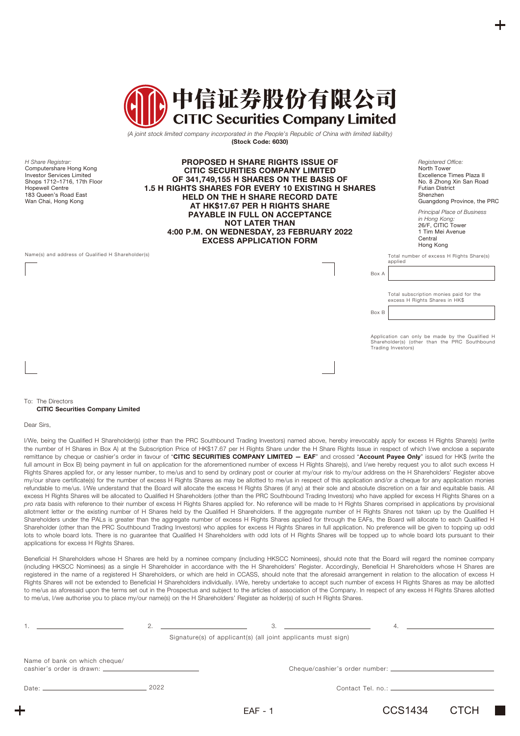

*(A joint stock limited company incorporated in the People's Republic of China with limited liability)* **(Stock Code: 6030)**

*H Share Registrar:* Computershare Hong Kong Investor Services Limited Shops 1712–1716, 17th Floor Hopewell Centre 183 Queen's Road East Wan Chai, Hong Kong

**PROPOSED H SHARE RIGHTS ISSUE OF CITIC SECURITIES COMPANY LIMITED OF 341,749,155 H SHARES ON THE BASIS OF 1.5 H RIGHTS SHARES FOR EVERY 10 EXISTING H SHARES HELD ON THE H SHARE RECORD DATE AT HK\$17.67 PER H RIGHTS SHARE PAYABLE IN FULL ON ACCEPTANCE NOT LATER THAN 4:00 P.M. ON WEDNESDAY, 23 FEBRUARY 2022 EXCESS APPLICATION FORM**

*Registered Office:* North Tower Excellence Times Plaza II No. 8 Zhong Xin San Road Futian District Shenzhen Guangdong Province, the PRC

*Principal Place of Business in Hong Kong:* 26/F, CITIC Tower 1 Tim Mei Avenue **Central** Hong Kong

Name(s) and address of Qualified H Shareholder(s)  $\blacksquare$  Total number of excess H Rights Share(s)

applied

Box A

Box B

Total subscription monies paid for the excess H Rights Shares in HK\$

Application can only be made by the Qualified H Shareholder(s) (other than the PRC Southbound Trading Investors)

#### To: The Directors **CITIC Securities Company Limited**

Dear Sirs,

I/We, being the Qualified H Shareholder(s) (other than the PRC Southbound Trading Investors) named above, hereby irrevocably apply for excess H Rights Share(s) (write the number of H Shares in Box A) at the Subscription Price of HK\$17.67 per H Rights Share under the H Share Rights Issue in respect of which I/we enclose a separate remittance by cheque or cashier's order in favour of "**CITIC SECURITIES COMPANY LIMITED — EAF**" and crossed "**Account Payee Only**" issued for HK\$ (write the full amount in Box B) being payment in full on application for the aforementioned number of excess H Rights Share(s), and I/we hereby request you to allot such excess H Rights Shares applied for, or any lesser number, to me/us and to send by ordinary post or courier at my/our risk to my/our address on the H Shareholders' Register above my/our share certificate(s) for the number of excess H Rights Shares as may be allotted to me/us in respect of this application and/or a cheque for any application monies refundable to me/us. I/We understand that the Board will allocate the excess H Rights Shares (if any) at their sole and absolute discretion on a fair and equitable basis. All excess H Rights Shares will be allocated to Qualified H Shareholders (other than the PRC Southbound Trading Investors) who have applied for excess H Rights Shares on a *pro rata* basis with reference to their number of excess H Rights Shares applied for. No reference will be made to H Rights Shares comprised in applications by provisional allotment letter or the existing number of H Shares held by the Qualified H Shareholders. If the aggregate number of H Rights Shares not taken up by the Qualified H Shareholders under the PALs is greater than the aggregate number of excess H Rights Shares applied for through the EAFs, the Board will allocate to each Qualified H Shareholder (other than the PRC Southbound Trading Investors) who applies for excess H Rights Shares in full application. No preference will be given to topping up odd lots to whole board lots. There is no guarantee that Qualified H Shareholders with odd lots of H Rights Shares will be topped up to whole board lots pursuant to their applications for excess H Rights Shares.

Beneficial H Shareholders whose H Shares are held by a nominee company (including HKSCC Nominees), should note that the Board will regard the nominee company (including HKSCC Nominees) as a single H Shareholder in accordance with the H Shareholders' Register. Accordingly, Beneficial H Shareholders whose H Shares are registered in the name of a registered H Shareholders, or which are held in CCASS, should note that the aforesaid arrangement in relation to the allocation of excess H Rights Shares will not be extended to Beneficial H Shareholders individually. I/We, hereby undertake to accept such number of excess H Rights Shares as may be allotted to me/us as aforesaid upon the terms set out in the Prospectus and subject to the articles of association of the Company. In respect of any excess H Rights Shares allotted to me/us, I/we authorise you to place my/our name(s) on the H Shareholders' Register as holder(s) of such H Rights Shares.

|                               | 2. | 3.                                                            |         | 4.          |
|-------------------------------|----|---------------------------------------------------------------|---------|-------------|
|                               |    | Signature(s) of applicant(s) (all joint applicants must sign) |         |             |
| Name of bank on which cheque/ |    |                                                               |         |             |
| Date: 2022                    |    |                                                               |         |             |
|                               |    | $EAF - 1$                                                     | CCS1434 | <b>CTCH</b> |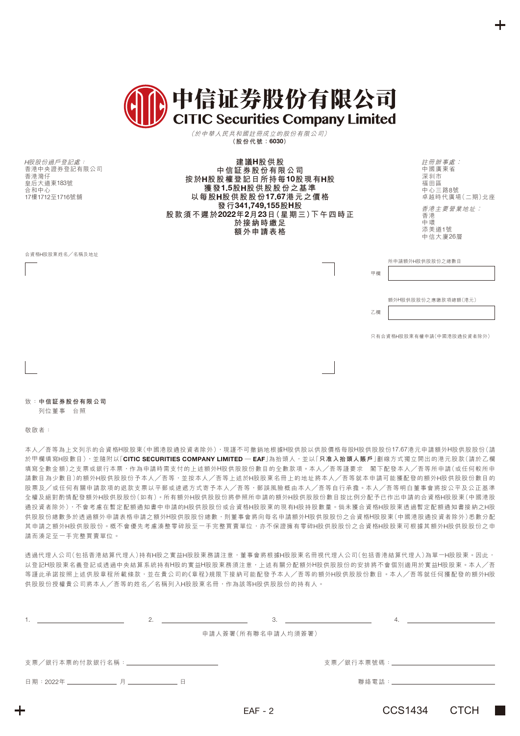|  | (III) 中信证券股份有限公司 |
|--|------------------|
|  |                  |

(於中華人民共和國註冊成立的股份有限公司) **(股份代號:6030)**

H股股份過戶登記處: 香港中央證券登記有限公司 香港灣仔 皇后大道東183號 合和中心 17樓1712至1716號舖

**建議H股供股 中信証券股份有限公司 按於H股股權登記日所持每10股現有H股 獲發1.5股H股供股股份之基準 以每股H股供股股份17.67港元之價格 發行341,749,155股H股 股款須不遲於2022年2月23日(星期三)下午四時正 於接納時繳足 額外申請表格**

註冊辦事處︰ 中國廣東省 深圳市 福田區 中心三路8號 卓越時代廣場(二期)北座 香港主要營業地址︰ 香港 中環 添美道1號 中信大廈26層

所申請額外H股供股股份之總數目

額外H股供股股份之應繳款項總額(港元)

乙欄

甲欄

只有合資格H股股東有權申請(中國港股通投資者除外)

合資格H股股東姓名╱名稱及地址

致:**中信証券股份有限公司**

列位董事 台照

敬啟者:

本人╱吾等為上文列示的合資格H股股東(中國港股通投資者除外),現謹不可撤銷地根據H股供股以供股價格每股H股供股股份17.67港元申請額外H股供股股份(請 於甲欄填寫H股數目),並隨附以「**CITIC SECURITIES COMPANY LIMITED — EAF**」為抬頭人,並以「**只准入抬頭人賬戶**」劃線方式獨立開出的港元股款(請於乙欄 填寫全數金額)之支票或銀行本票,作為申請時需支付的上述額外H股供股份份數目的全數款項。本人╱吾等謹要求 閣下配發本人╱吾等所申請(或任何較所申 請數目為少數目)的額外H股供股股份予本人/吾等,並按本人/吾等上述於H股股東名冊上的地址將本人/吾等就本申請可能獲配發的額外H股供股股份數目的 股票及╱或任何有關申請款項的退款支票以平郵或速遞方式寄予本人╱吾等,郵誤風險概由本人╱吾等自行承擔。本人╱吾等明白董事會將按公平及公正基準 全權及絕對酌情配發額外H股供股股份(如有)。所有額外H股供股股份將參照所申請的額外H股供股股份數目按比例分配予已作出申請的合資格H股股東(中國港股 通投資者除外),不會考慮在暫定配額通知書中申請的H股供股股份或合資格H股股東的現有H股持股數量。倘未獲合資格H股股東透過暫定配額通知書接納之H股 供股股份總數多於透過額外申請表格申請之額外H股供股股份總數,則董事會將向每名申請額外H股供股股份之合資格H股股東(中國港股通投資者除外)悉數分配 其申請之額外H股供股股份。概不會優先考慮湊整零碎股至一手完整買賣單位,亦不保證擁有零碎H股供股股份之合資格H股股東可根據其額外H股供股股份之申 請而湊足至一手完整買賣單位。

透過代理人公司(包括香港結算代理人)持有H股之實益H股股東務請注意,董事會將根據H股股東名冊視代理人公司(包括香港結算代理人)為單一H股股東。因此, 以登記H股股東名義登記或透過中央結算系統持有H股的實益H股股東務須注意,上述有關分配額外H股供股股份的安排將不會個別適用於實益H股股東。本人/吾 等謹此承諾按照上述供股章程所載條款, 並在貴公司的《章程》規限下接納可能配發予本人/吾等的額外H股供股股份數目。本人/吾等就任何獲配發的額外H股 供股股份授權貴公司將本人╱吾等的姓名╱名稱列入H股股東名冊,作為該等H股供股股份的持有人。

| 2.                                             | 3.                 | -4.                                          |  |
|------------------------------------------------|--------------------|----------------------------------------------|--|
|                                                | 申請人簽署(所有聯名申請人均須簽署) |                                              |  |
| 支票/銀行本票的付款銀行名稱:_______________________________ |                    | 支票/銀行本票號碼:__________________________________ |  |
|                                                |                    | 聯絡電話:______________________________          |  |
|                                                | $EAF - 2$          | CCS1434<br>CTCH                              |  |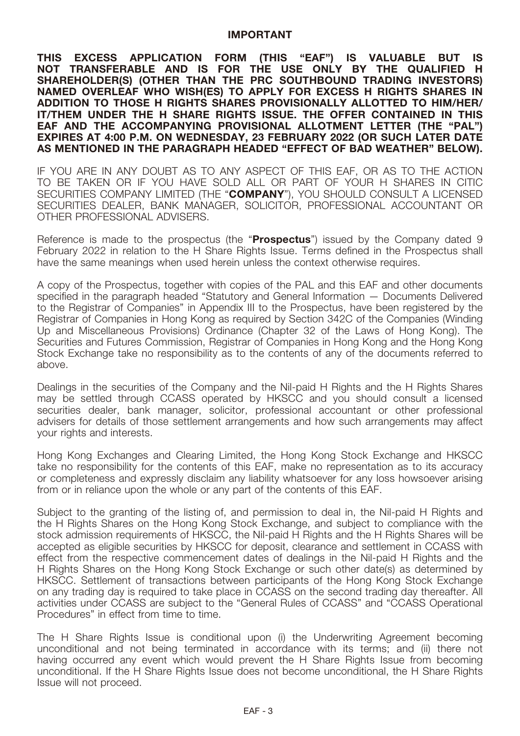#### **IMPORTANT**

**THIS EXCESS APPLICATION FORM (THIS "EAF") IS VALUABLE BUT IS NOT TRANSFERABLE AND IS FOR THE USE ONLY BY THE QUALIFIED H SHAREHOLDER(S) (OTHER THAN THE PRC SOUTHBOUND TRADING INVESTORS) NAMED OVERLEAF WHO WISH(ES) TO APPLY FOR EXCESS H RIGHTS SHARES IN ADDITION TO THOSE H RIGHTS SHARES PROVISIONALLY ALLOTTED TO HIM/HER/ IT/THEM UNDER THE H SHARE RIGHTS ISSUE. THE OFFER CONTAINED IN THIS EAF AND THE ACCOMPANYING PROVISIONAL ALLOTMENT LETTER (THE "PAL") EXPIRES AT 4:00 P.M. ON WEDNESDAY, 23 FEBRUARY 2022 (OR SUCH LATER DATE AS MENTIONED IN THE PARAGRAPH HEADED "EFFECT OF BAD WEATHER" BELOW).**

IF YOU ARE IN ANY DOUBT AS TO ANY ASPECT OF THIS EAF, OR AS TO THE ACTION TO BE TAKEN OR IF YOU HAVE SOLD ALL OR PART OF YOUR H SHARES IN CITIC SECURITIES COMPANY LIMITED (THE "**COMPANY**"), YOU SHOULD CONSULT A LICENSED SECURITIES DEALER, BANK MANAGER, SOLICITOR, PROFESSIONAL ACCOUNTANT OR OTHER PROFESSIONAL ADVISERS.

Reference is made to the prospectus (the "**Prospectus**") issued by the Company dated 9 February 2022 in relation to the H Share Rights Issue. Terms defined in the Prospectus shall have the same meanings when used herein unless the context otherwise requires.

A copy of the Prospectus, together with copies of the PAL and this EAF and other documents specified in the paragraph headed "Statutory and General Information — Documents Delivered to the Registrar of Companies" in Appendix III to the Prospectus, have been registered by the Registrar of Companies in Hong Kong as required by Section 342C of the Companies (Winding Up and Miscellaneous Provisions) Ordinance (Chapter 32 of the Laws of Hong Kong). The Securities and Futures Commission, Registrar of Companies in Hong Kong and the Hong Kong Stock Exchange take no responsibility as to the contents of any of the documents referred to above.

Dealings in the securities of the Company and the Nil-paid H Rights and the H Rights Shares may be settled through CCASS operated by HKSCC and you should consult a licensed securities dealer, bank manager, solicitor, professional accountant or other professional advisers for details of those settlement arrangements and how such arrangements may affect your rights and interests.

Hong Kong Exchanges and Clearing Limited, the Hong Kong Stock Exchange and HKSCC take no responsibility for the contents of this EAF, make no representation as to its accuracy or completeness and expressly disclaim any liability whatsoever for any loss howsoever arising from or in reliance upon the whole or any part of the contents of this EAF.

Subject to the granting of the listing of, and permission to deal in, the Nil-paid H Rights and the H Rights Shares on the Hong Kong Stock Exchange, and subject to compliance with the stock admission requirements of HKSCC, the Nil-paid H Rights and the H Rights Shares will be accepted as eligible securities by HKSCC for deposit, clearance and settlement in CCASS with effect from the respective commencement dates of dealings in the Nil-paid H Rights and the H Rights Shares on the Hong Kong Stock Exchange or such other date(s) as determined by HKSCC. Settlement of transactions between participants of the Hong Kong Stock Exchange on any trading day is required to take place in CCASS on the second trading day thereafter. All activities under CCASS are subject to the "General Rules of CCASS" and "CCASS Operational Procedures" in effect from time to time.

The H Share Rights Issue is conditional upon (i) the Underwriting Agreement becoming unconditional and not being terminated in accordance with its terms; and (ii) there not having occurred any event which would prevent the H Share Rights Issue from becoming unconditional. If the H Share Rights Issue does not become unconditional, the H Share Rights Issue will not proceed.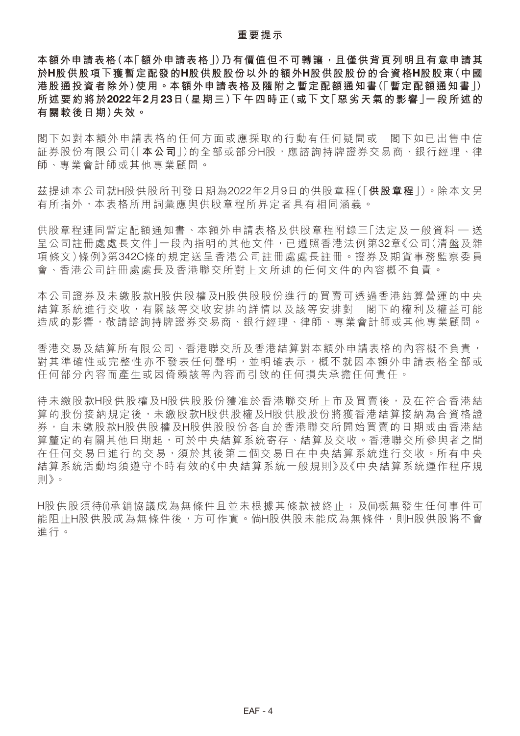#### **重要提示**

本額外申請表格(本「額外申請表格」)乃有價值但不可轉讓,且僅供背頁列明且有意申請其 **於H股供股項下獲暫定配發的H股供股股份以外的額外H股供股股份的合資格H股股東(中國 港股通投資者除外)使用。本額外申請表格及隨附之暫定配額通知書(「暫定配額通知書」) 所述要約將於2022年2月23日(星期三)下午四時正(或下文「惡劣天氣的影響」一段所述的 有關較後日期)失效。**

閣下如對本額外申請表格的任何方面或應採取的行動有任何疑問或 閣下如已出售中信 証券股份有限公司(「本公司|)的全部或部分H股,應諮詢持牌證券交易商、銀行經理、律 師、專業會計師或其他專業顧問。

茲提述本公司就H股供股所刊發日期為2022年2月9日的供股章程(「**供股章程**」)。除本文另 有所指外,本表格所用詞彙應與供股章程所界定者具有相同涵義。

供股章程連同暫定配額通知書、本額外申請表格及供股章程附錄三「法定及一般資料 — 送 呈公司註冊處處長文件」一段內指明的其他文件,已遵照香港法例第32章《公司(清盤及雜 項條文)條例》第342C條的規定送呈香港公司註冊處處長註冊。證券及期貨事務監察委員 會、香港公司註冊處處長及香港聯交所對上文所述的任何文件的內容概不負責。

本公司證券及未繳股款H股供股權及H股供股股份進行的買賣可透過香港結算營運的中央 結算系統進行交收,有關該等交收安排的詳情以及該等安排對 閣下的權利及權益可能 造成的影響,敬請諮詢持牌證券交易商、銀行經理、律師、專業會計師或其他專業顧問。

香港交易及結算所有限公司、香港聯交所及香港結算對本額外申請表格的內容概不負責, 對其準確性或完整性亦不發表任何聲明,並明確表示,概不就因本額外申請表格全部或 任何部分內容而產生或因倚賴該等內容而引致的任何損失承擔任何責任。

待未繳股款H股供股權及H股供股股份獲准於香港聯交所上市及買賣後,及在符合香港結 算的股份接納規定後,未繳股款H股供股權及H股供股股份將獲香港結算接納為合資格證 券,自未繳股款H股供股權及H股供股股份各自於香港聯交所開始買賣的日期或由香港結 算釐定的有關其他日期起,可於中央結算系統寄存、結算及交收。香港聯交所參與者之間 在任何交易日進行的交易,有效等者的交易日在中央結算系統進行交收。所有中央 結算系統活動均須遵守不時有效的《中央結算系統一般規則》及《中央結算系統運作程序規 則》。

H股供股須待(i)承銷協議成為無條件且並未根據其條款被終止;及(ii)概無發生任何事件可 能阻止H股供股成為無條件後,方可作實。倘H股供股未能成為無條件,則H股供股將不會 進行。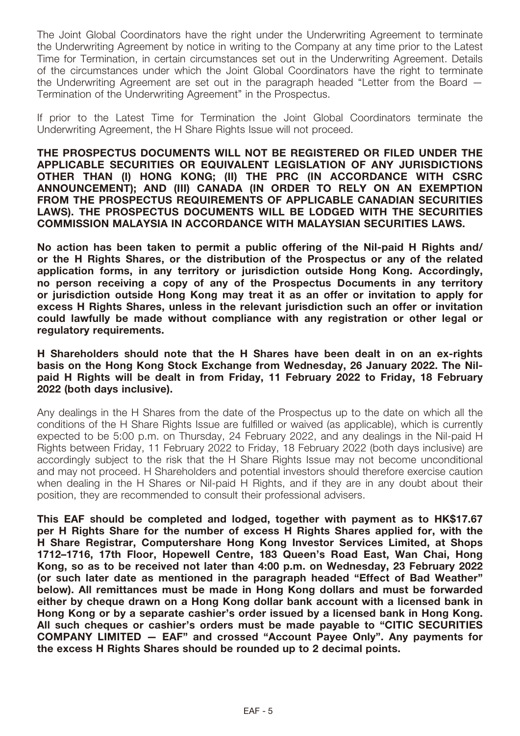The Joint Global Coordinators have the right under the Underwriting Agreement to terminate the Underwriting Agreement by notice in writing to the Company at any time prior to the Latest Time for Termination, in certain circumstances set out in the Underwriting Agreement. Details of the circumstances under which the Joint Global Coordinators have the right to terminate the Underwriting Agreement are set out in the paragraph headed "Letter from the Board — Termination of the Underwriting Agreement" in the Prospectus.

If prior to the Latest Time for Termination the Joint Global Coordinators terminate the Underwriting Agreement, the H Share Rights Issue will not proceed.

**THE PROSPECTUS DOCUMENTS WILL NOT BE REGISTERED OR FILED UNDER THE APPLICABLE SECURITIES OR EQUIVALENT LEGISLATION OF ANY JURISDICTIONS OTHER THAN (I) HONG KONG; (II) THE PRC (IN ACCORDANCE WITH CSRC ANNOUNCEMENT); AND (III) CANADA (IN ORDER TO RELY ON AN EXEMPTION FROM THE PROSPECTUS REQUIREMENTS OF APPLICABLE CANADIAN SECURITIES LAWS). THE PROSPECTUS DOCUMENTS WILL BE LODGED WITH THE SECURITIES COMMISSION MALAYSIA IN ACCORDANCE WITH MALAYSIAN SECURITIES LAWS.** 

**No action has been taken to permit a public offering of the Nil-paid H Rights and/ or the H Rights Shares, or the distribution of the Prospectus or any of the related application forms, in any territory or jurisdiction outside Hong Kong. Accordingly, no person receiving a copy of any of the Prospectus Documents in any territory or jurisdiction outside Hong Kong may treat it as an offer or invitation to apply for excess H Rights Shares, unless in the relevant jurisdiction such an offer or invitation could lawfully be made without compliance with any registration or other legal or regulatory requirements.**

**H Shareholders should note that the H Shares have been dealt in on an ex-rights basis on the Hong Kong Stock Exchange from Wednesday, 26 January 2022. The Nilpaid H Rights will be dealt in from Friday, 11 February 2022 to Friday, 18 February 2022 (both days inclusive).**

Any dealings in the H Shares from the date of the Prospectus up to the date on which all the conditions of the H Share Rights Issue are fulfilled or waived (as applicable), which is currently expected to be 5:00 p.m. on Thursday, 24 February 2022, and any dealings in the Nil-paid H Rights between Friday, 11 February 2022 to Friday, 18 February 2022 (both days inclusive) are accordingly subject to the risk that the H Share Rights Issue may not become unconditional and may not proceed. H Shareholders and potential investors should therefore exercise caution when dealing in the H Shares or Nil-paid H Rights, and if they are in any doubt about their position, they are recommended to consult their professional advisers.

**This EAF should be completed and lodged, together with payment as to HK\$17.67 per H Rights Share for the number of excess H Rights Shares applied for, with the H Share Registrar, Computershare Hong Kong Investor Services Limited, at Shops 1712–1716, 17th Floor, Hopewell Centre, 183 Queen's Road East, Wan Chai, Hong Kong, so as to be received not later than 4:00 p.m. on Wednesday, 23 February 2022 (or such later date as mentioned in the paragraph headed "Effect of Bad Weather" below). All remittances must be made in Hong Kong dollars and must be forwarded either by cheque drawn on a Hong Kong dollar bank account with a licensed bank in Hong Kong or by a separate cashier's order issued by a licensed bank in Hong Kong. All such cheques or cashier's orders must be made payable to "CITIC SECURITIES COMPANY LIMITED — EAF" and crossed "Account Payee Only". Any payments for the excess H Rights Shares should be rounded up to 2 decimal points.**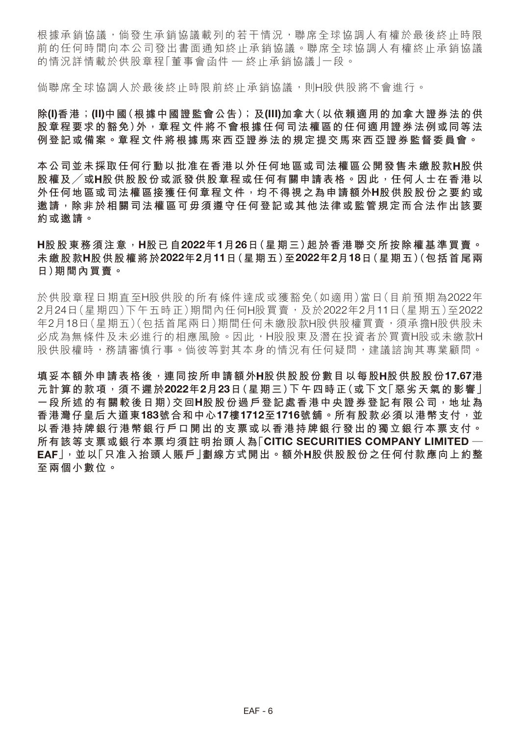根據承銷協議,倘發生承銷協議載列的若干情況,聯席全球協調人有權於最後終止時限 前的任何時間向本公司發出書面通知終止承銷協議。聯席全球協調人有權終止承銷協議 的情況詳情載於供股章程「董事會函件 — 終止承銷協議 | 一段。

倘聯席全球協調人於最後終止時限前終止承銷協議,則H股供股將不會進行。

**除(I)香港;(II)中國(根據中國證監會公告);及(III)加拿大(以依賴適用的加拿大證券法的供 股章程要求的豁免)外,章程文件將不會根據任何司法權區的任何適用證券法例或同等法 例登記或備案。章程文件將根據馬來西亞證券法的規定提交馬來西亞證券監督委員會。**

**本公司並未採取任何行動以批准在香港以外任何地區或司法權區公開發售未繳股款H股供 股權及╱或H股供股股份或派發供股章程或任何有關申請表格。因此,任何人士在香港以 外任何地區或司法權區接獲任何章程文件,均不得視之為申請額外H股供股股份之要約或 邀請,除非於相關司法權區可毋須遵守任何登記或其他法律或監管規定而合法作出該要 約或邀請。**

## **H股股東務須注意,H股已自2022年1月26日(星期三)起於香港聯交所按除權基準買賣。 未繳股款H股供股權將於2022年2月11日(星期五)至2022年2月18日(星期五)(包括首尾兩 日)期間內買賣。**

於供股章程日期直至H股供股的所有條件達成或獲豁免(如適用)當日(目前預期為2022年 2月24日(星期四)下午五時正)期間內任何H股買賣,及於2022年2月11日(星期五)至2022 年2月18日(星期五)(包括首尾兩日)期間任何未繳股款H股供股權買賣,須承擔H股供股未 必成為無條件及未必進行的相應風險。因此,H股股東及潛在投資者於買賣H股或未繳款H 股供股權時,務請審慎行事。倘彼等對其本身的情況有任何疑問,建議諮詢其專業顧問。

**填妥本額外申請表格後,連同按所申請額外H股供股股份數目以每股H股供股股份17.67港 元計算的款項,須不遲於2022年2月23日(星期三)下午四時正(或下文「惡劣天氣的影響」 一段所述的有關較後日期)交回H股股份過戶登記處香港中央證券登記有限公司,地址為 香港灣仔皇后大道東183號合和中心17樓1712至1716號舖。所有股款必須以港幣支付,並 以香港持牌銀行港幣銀行戶口開出的支票或以香港持牌銀行發出的獨立銀行本票支付。 所有該等支票或銀行本票均須註明抬頭人為「CITIC SECURITIES COMPANY LIMITED — EAF」,並以「只准入抬頭人賬戶」劃線方式開出。額外H股供股股份之任何付款應向上約整 至兩個小數位。**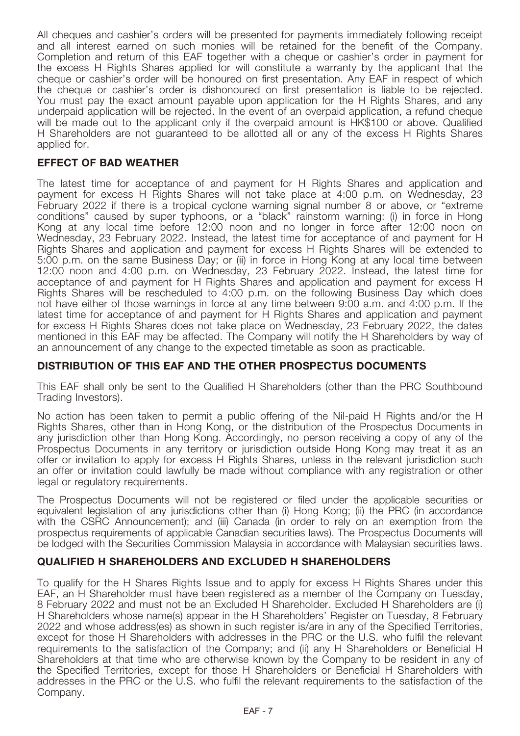All cheques and cashier's orders will be presented for payments immediately following receipt and all interest earned on such monies will be retained for the benefit of the Company. Completion and return of this EAF together with a cheque or cashier's order in payment for the excess H Rights Shares applied for will constitute a warranty by the applicant that the cheque or cashier's order will be honoured on first presentation. Any EAF in respect of which the cheque or cashier's order is dishonoured on first presentation is liable to be rejected. You must pay the exact amount payable upon application for the H Rights Shares, and any underpaid application will be rejected. In the event of an overpaid application, a refund cheque will be made out to the applicant only if the overpaid amount is HK\$100 or above. Qualified H Shareholders are not guaranteed to be allotted all or any of the excess H Rights Shares applied for.

# **EFFECT OF BAD WEATHER**

The latest time for acceptance of and payment for H Rights Shares and application and payment for excess H Rights Shares will not take place at 4:00 p.m. on Wednesday, 23 February 2022 if there is a tropical cyclone warning signal number 8 or above, or "extreme conditions" caused by super typhoons, or a "black" rainstorm warning: (i) in force in Hong Kong at any local time before 12:00 noon and no longer in force after 12:00 noon on Wednesday, 23 February 2022. Instead, the latest time for acceptance of and payment for H Rights Shares and application and payment for excess H Rights Shares will be extended to 5:00 p.m. on the same Business Day; or (ii) in force in Hong Kong at any local time between 12:00 noon and 4:00 p.m. on Wednesday, 23 February 2022. Instead, the latest time for acceptance of and payment for H Rights Shares and application and payment for excess H Rights Shares will be rescheduled to 4:00 p.m. on the following Business Day which does not have either of those warnings in force at any time between 9:00 a.m. and 4:00 p.m. If the latest time for acceptance of and payment for H Rights Shares and application and payment for excess H Rights Shares does not take place on Wednesday, 23 February 2022, the dates mentioned in this EAF may be affected. The Company will notify the H Shareholders by way of an announcement of any change to the expected timetable as soon as practicable.

## **DISTRIBUTION OF THIS EAF AND THE OTHER PROSPECTUS DOCUMENTS**

This EAF shall only be sent to the Qualified H Shareholders (other than the PRC Southbound Trading Investors).

No action has been taken to permit a public offering of the Nil-paid H Rights and/or the H Rights Shares, other than in Hong Kong, or the distribution of the Prospectus Documents in any jurisdiction other than Hong Kong. Accordingly, no person receiving a copy of any of the Prospectus Documents in any territory or jurisdiction outside Hong Kong may treat it as an offer or invitation to apply for excess H Rights Shares, unless in the relevant jurisdiction such an offer or invitation could lawfully be made without compliance with any registration or other legal or regulatory requirements.

The Prospectus Documents will not be registered or filed under the applicable securities or equivalent legislation of any jurisdictions other than (i) Hong Kong; (ii) the PRC (in accordance with the CSRC Announcement); and (iii) Canada (in order to rely on an exemption from the prospectus requirements of applicable Canadian securities laws). The Prospectus Documents will be lodged with the Securities Commission Malaysia in accordance with Malaysian securities laws.

## **QUALIFIED H SHAREHOLDERS AND EXCLUDED H SHAREHOLDERS**

To qualify for the H Shares Rights Issue and to apply for excess H Rights Shares under this EAF, an H Shareholder must have been registered as a member of the Company on Tuesday, 8 February 2022 and must not be an Excluded H Shareholder. Excluded H Shareholders are (i) H Shareholders whose name(s) appear in the H Shareholders' Register on Tuesday, 8 February 2022 and whose address(es) as shown in such register is/are in any of the Specified Territories, except for those H Shareholders with addresses in the PRC or the U.S. who fulfil the relevant requirements to the satisfaction of the Company; and (ii) any H Shareholders or Beneficial H Shareholders at that time who are otherwise known by the Company to be resident in any of the Specified Territories, except for those H Shareholders or Beneficial H Shareholders with addresses in the PRC or the U.S. who fulfil the relevant requirements to the satisfaction of the Company.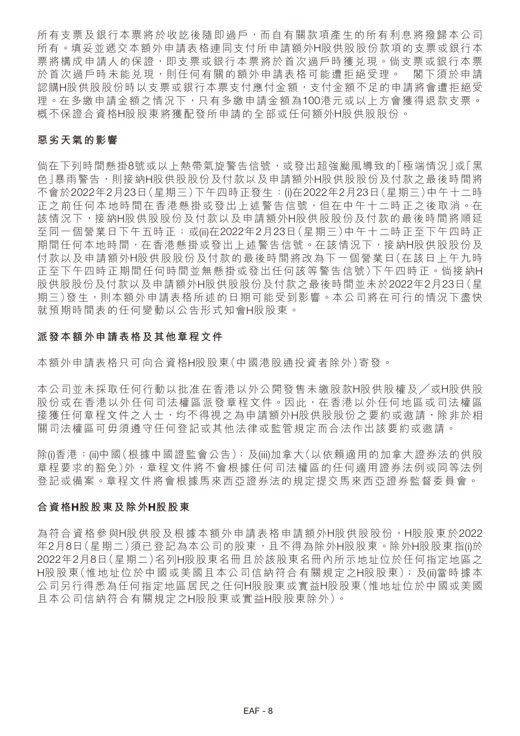所有支票及銀行本票將於收訖後隨即過戶,而自有關款項產生的所有利息將撥歸本公司 所有。填妥並遞交本額外申請表格連同支付所申請額外H股供股股份款項的支票或銀行本 票將構成申請人的保證,即支票或銀行本票將於首次過戶時獲兑現。倘支票或銀行本票 於首次過戶時未能兑現,則任何有關的額外申請表格可能遭拒絕受理。 閣下須於申請 認購H股供股份時以支票或銀行本票支付應付金額,支付金額不足的申請將會遭拒絕受 理。在多繳申請金額之情況下,只有多繳申請金額為100港元或以上方會獲得退款支票。 概不保證合資格H股股東將獲配發所申請的全部或任何額外H股供股股份。

## **惡劣天氣的影響**

倘在下列時間懸掛8號或以上熱帶氣旋警告信號,或發出超強颱風導致的「極端情況」或「黑 色」暴雨警告,則接納H股供股股份及付款以及申請額外H股供股股份及付款之最後時間將 不會於2022年2月23日(星期三)下午四時正發生:(i)在2022年2月23日(星期三)中午十二時 正之前任何本地時間在香港懸掛或發出上述警告信號,但在中午十二時正之後取消。在 該情況下,接納H股供股股份及付款以及申請額外H股供股股份及付款的最後時間將順延 至同一個營業日下午五時正;或(ii)在2022年2月23日(星期三)中午十二時正至下午四時正 期間任何本地時間,在香港懸掛或發出上述警告信號。在該情況下,接納H股供股份及 付款以及申請額外H股供股股份及付款的最後時間將改為下一個營業日(在該日上午九時 正至下午四時正期間任何時間並無懸掛或發出任何該等警告信號)下午四時正。倘接納H 股供股股份及付款以及申請額外H股供股股份及付款之最後時間並未於2022年2月23日(星 期三)發生,則本額外申請表格所述的日期可能受到影響。本公司將在可行的情況下盡快 就預期時間表的任何變動以公告形式知會H股股東。

## **派發本額外申請表格及其他章程文件**

本額外申請表格只可向合資格H股股東(中國港股通投資者除外)寄發。

本公司並未採取任何行動以批准在香港以外公開發售未繳股款H股供股權及╱或H股供股 股份或在香港以外任何司法權區派發章程文件。因此,在香港以外任何地區或司法權區 接獲任何章程文件之人士,均不得視之為申請額外H股供股股份之要約或邀請,除非於相 關司法權區可毋須遵守任何登記或其他法律或監管規定而合法作出該要約或邀請。

除(i)香港;(ii)中國(根據中國證監會公告);及(iii)加拿大(以依賴適用的加拿大證券法的供股 章程要求的豁免)外,章程文件將不會根據任何司法權區的任何適用證券法例或同等法例 登記或備案。章程文件將會根據馬來西亞證券法的規定提交馬來西亞證券監督委員會。

### **合資格H股股東及除外H股股東**

為符合資格參與H股供股及根據本額外申請表格申請額外H股供股股份,H股股東於2022 年2月8日(星期二)須已登記為本公司的股東,且不得為除外H股股東。除外H股股東指(i)於 2022年2月8日(星期二)名列H股股東名冊且於該股東名冊內所示地址位於任何指定地區之 H股股東(惟地址位於中國或美國且本公司信納符合有關規定之H股股東);及(ii)當時據本 公司另行得悉為任何指定地區居民之任何H股股東或實益H股股東(惟地址位於中國或美國 且本公司信納符合有關規定之H股股東或實益H股股東除外)。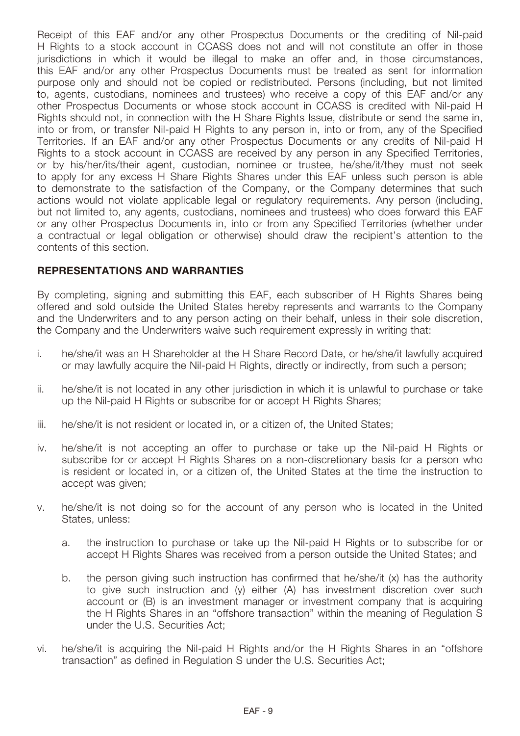Receipt of this EAF and/or any other Prospectus Documents or the crediting of Nil-paid H Rights to a stock account in CCASS does not and will not constitute an offer in those jurisdictions in which it would be illegal to make an offer and, in those circumstances, this EAF and/or any other Prospectus Documents must be treated as sent for information purpose only and should not be copied or redistributed. Persons (including, but not limited to, agents, custodians, nominees and trustees) who receive a copy of this EAF and/or any other Prospectus Documents or whose stock account in CCASS is credited with Nil-paid H Rights should not, in connection with the H Share Rights Issue, distribute or send the same in, into or from, or transfer Nil-paid H Rights to any person in, into or from, any of the Specified Territories. If an EAF and/or any other Prospectus Documents or any credits of Nil-paid H Rights to a stock account in CCASS are received by any person in any Specified Territories, or by his/her/its/their agent, custodian, nominee or trustee, he/she/it/they must not seek to apply for any excess H Share Rights Shares under this EAF unless such person is able to demonstrate to the satisfaction of the Company, or the Company determines that such actions would not violate applicable legal or regulatory requirements. Any person (including, but not limited to, any agents, custodians, nominees and trustees) who does forward this EAF or any other Prospectus Documents in, into or from any Specified Territories (whether under a contractual or legal obligation or otherwise) should draw the recipient's attention to the contents of this section.

# **REPRESENTATIONS AND WARRANTIES**

By completing, signing and submitting this EAF, each subscriber of H Rights Shares being offered and sold outside the United States hereby represents and warrants to the Company and the Underwriters and to any person acting on their behalf, unless in their sole discretion, the Company and the Underwriters waive such requirement expressly in writing that:

- i. he/she/it was an H Shareholder at the H Share Record Date, or he/she/it lawfully acquired or may lawfully acquire the Nil-paid H Rights, directly or indirectly, from such a person;
- ii. he/she/it is not located in any other jurisdiction in which it is unlawful to purchase or take up the Nil-paid H Rights or subscribe for or accept H Rights Shares;
- iii. he/she/it is not resident or located in, or a citizen of, the United States;
- iv. he/she/it is not accepting an offer to purchase or take up the Nil-paid H Rights or subscribe for or accept H Rights Shares on a non-discretionary basis for a person who is resident or located in, or a citizen of, the United States at the time the instruction to accept was given;
- v. he/she/it is not doing so for the account of any person who is located in the United States, unless:
	- a. the instruction to purchase or take up the Nil-paid H Rights or to subscribe for or accept H Rights Shares was received from a person outside the United States; and
	- b. the person giving such instruction has confirmed that he/she/it (x) has the authority to give such instruction and (y) either (A) has investment discretion over such account or (B) is an investment manager or investment company that is acquiring the H Rights Shares in an "offshore transaction" within the meaning of Regulation S under the U.S. Securities Act;
- vi. he/she/it is acquiring the Nil-paid H Rights and/or the H Rights Shares in an "offshore transaction" as defined in Regulation S under the U.S. Securities Act;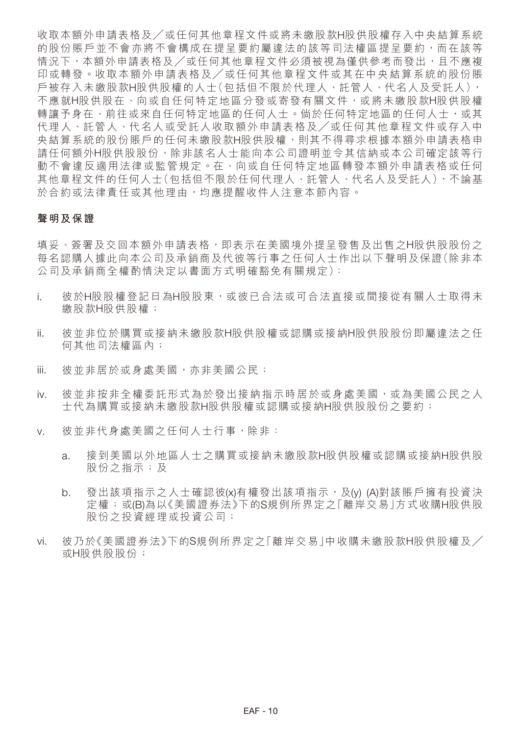收取本額外申請表格及╱或任何其他章程文件或將未繳股款H股供股權存入中央結算系統 的股份賬戶並不會亦將不會構成在提呈要約屬違法的該等司法權區提呈要約,而在該等 情況下,本額外申請表格及/或任何其他章程文件必須被視為僅供參考而發出,且不應複 印或轉發。收取本額外申請表格及/或任何其他章程文件或其在中央結算系統的股份賬 戶被存入未繳股款H股供股權的人士(包括但不限於代理人、託管人、代名人及受託人), 不應就H股供股在、向或自任何特定地區分發或寄發有關文件,或將未繳股款H股供股權 轉讓予身在、前往或來自任何特定地區的任何人士。倘於任何特定地區的任何人士,或其 代理人、託管人、代名人或受託人收取額外申請表格及/或任何其他章程文件或存入中 央結算系統的股份賬戶的任何未繳股款H股供股權,則其不得尋求根據本額外申請表格申 請任何額外H股供股股份,除非該名人士能向本公司證明並令其信納或本公司確定該等行 動不會違反適用法律或監管規定。在、向或自任何特定地區轉發本額外申請表格或任何 其他章程文件的任何人士(包括但不限於任何代理人、託管人、代名人及受託人),不論基 於合約或法律責任或其他理由,均應提醒收件人注意本節內容。

#### **聲明及保證**

填妥、簽署及交回本額外申請表格,即表示在美國境外提呈發售及出售之H股供股份之 每名認購人據此向本公司及承銷商及代彼等行事之任何人士作出以下聲明及保證(除非本 公司及承銷商全權酌情決定以書面方式明確豁免有關規定):

- i. 彼於H股股權登記日為H股股東,或彼已合法或可合法直接或間接從有關人士取得未 繳股款H股供股權;
- ii. 彼並非位於購買或接納未繳股款H股供股權或認購或接納H股供股股份即屬違法之任 何其他司法權區內;
- iii. 彼並非居於或身處美國,亦非美國公民;
- iv. 彼並非按非全權委託形式為於發出接納指示時居於或身處美國,或為美國公民之人 士代為購買或接納未繳股款H股供股權或認購或接納H股供股股份之要約;
- v. 彼並非代身處美國之任何人士行事,除非:
	- a. 接到美國以外地區人士之購買或接納未繳股款H股供股權或認購或接納H股供股 股份之指示;及
	- b. 發出該項指示之人士確認彼(x)有權發出該項指示,及(y) (A)對該賬戶擁有投資決 定權;或(B)為以《美國證券法》下的S規例所界定之「離岸交易」方式收購H股供股 股份之投資經理或投資公司;
- vi. 彼乃於《美國證券法》下的S規例所界定之「離岸交易」中收購未繳股款H股供股權及/ 或H股供股股份;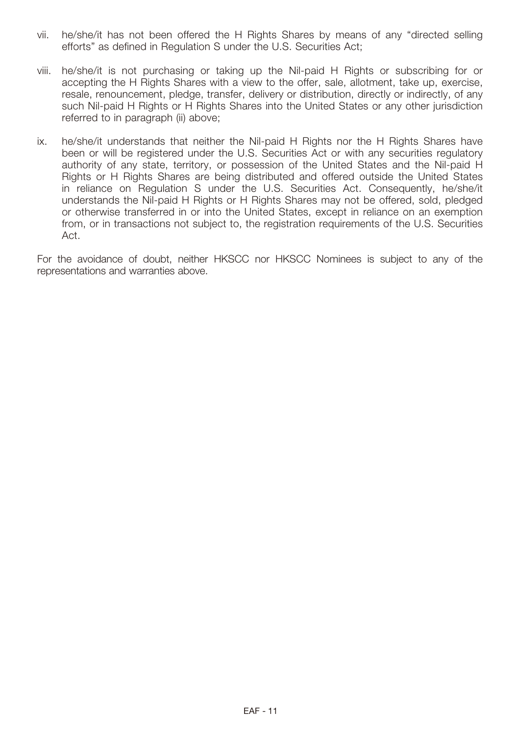- vii. he/she/it has not been offered the H Rights Shares by means of any "directed selling efforts" as defined in Regulation S under the U.S. Securities Act;
- viii. he/she/it is not purchasing or taking up the Nil-paid H Rights or subscribing for or accepting the H Rights Shares with a view to the offer, sale, allotment, take up, exercise, resale, renouncement, pledge, transfer, delivery or distribution, directly or indirectly, of any such Nil-paid H Rights or H Rights Shares into the United States or any other jurisdiction referred to in paragraph (ii) above;
- ix. he/she/it understands that neither the Nil-paid H Rights nor the H Rights Shares have been or will be registered under the U.S. Securities Act or with any securities regulatory authority of any state, territory, or possession of the United States and the Nil-paid H Rights or H Rights Shares are being distributed and offered outside the United States in reliance on Regulation S under the U.S. Securities Act. Consequently, he/she/it understands the Nil-paid H Rights or H Rights Shares may not be offered, sold, pledged or otherwise transferred in or into the United States, except in reliance on an exemption from, or in transactions not subject to, the registration requirements of the U.S. Securities Act.

For the avoidance of doubt, neither HKSCC nor HKSCC Nominees is subject to any of the representations and warranties above.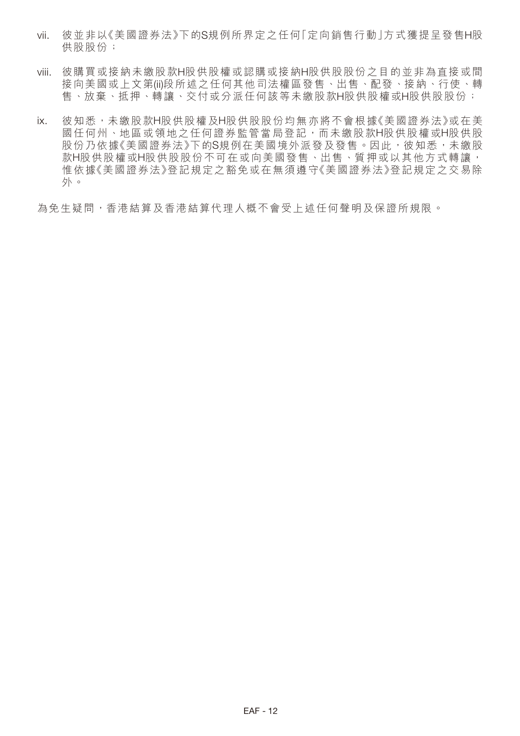- vii. 彼並非以《美國證券法》下的S規例所界定之任何「定向銷售行動」方式獲提呈發售H股 供股股份;
- viii. 彼購買或接納未繳股款H股供股權或認購或接納H股供股股份之目的並非為直接或間 接向美國或上文第(ii)段所述之任何其他司法權區發售、出售、配發、接納、行使、轉 售、放棄、抵押、轉讓、交付或分派任何該等未繳股款H股供股權或H股供股股份;
- ix. 彼知悉,未繳股款H股供股權及H股供股股份均無亦將不會根據《美國證券法》或在美 國任何州、地區或領地之任何證券監管當局登記,而未繳股款H股供股權或H股供股 股份乃依據《美國證券法》下的S規例在美國境外派發及發售。因此,彼知悉,未繳股 款H股供股權或H股供股份不可在或向美國發售、出售、質押或以其他方式轉讓, 惟依據《美國證券法》登記規定之豁免或在無須遵守《美國證券法》登記規定之交易除 外。

為免生疑問,香港結算及香港結算代理人概不會受上述任何聲明及保證所規限。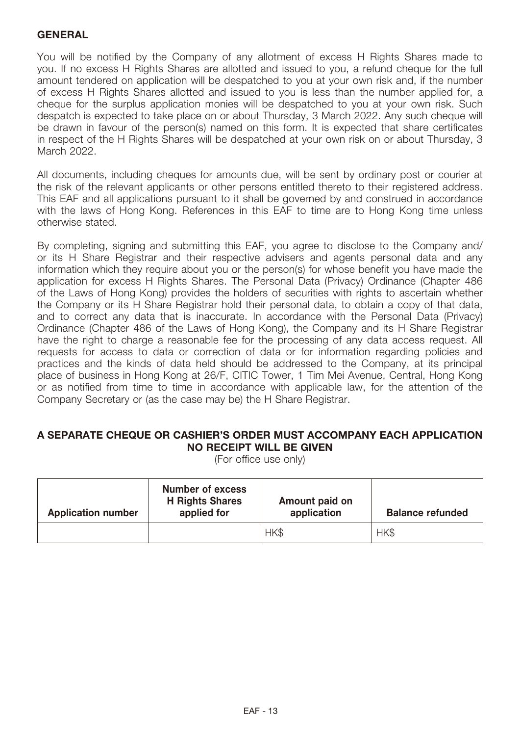# **GENERAL**

You will be notified by the Company of any allotment of excess H Rights Shares made to you. If no excess H Rights Shares are allotted and issued to you, a refund cheque for the full amount tendered on application will be despatched to you at your own risk and, if the number of excess H Rights Shares allotted and issued to you is less than the number applied for, a cheque for the surplus application monies will be despatched to you at your own risk. Such despatch is expected to take place on or about Thursday, 3 March 2022. Any such cheque will be drawn in favour of the person(s) named on this form. It is expected that share certificates in respect of the H Rights Shares will be despatched at your own risk on or about Thursday, 3 March 2022.

All documents, including cheques for amounts due, will be sent by ordinary post or courier at the risk of the relevant applicants or other persons entitled thereto to their registered address. This EAF and all applications pursuant to it shall be governed by and construed in accordance with the laws of Hong Kong. References in this EAF to time are to Hong Kong time unless otherwise stated.

By completing, signing and submitting this EAF, you agree to disclose to the Company and/ or its H Share Registrar and their respective advisers and agents personal data and any information which they require about you or the person(s) for whose benefit you have made the application for excess H Rights Shares. The Personal Data (Privacy) Ordinance (Chapter 486 of the Laws of Hong Kong) provides the holders of securities with rights to ascertain whether the Company or its H Share Registrar hold their personal data, to obtain a copy of that data, and to correct any data that is inaccurate. In accordance with the Personal Data (Privacy) Ordinance (Chapter 486 of the Laws of Hong Kong), the Company and its H Share Registrar have the right to charge a reasonable fee for the processing of any data access request. All requests for access to data or correction of data or for information regarding policies and practices and the kinds of data held should be addressed to the Company, at its principal place of business in Hong Kong at 26/F, CITIC Tower, 1 Tim Mei Avenue, Central, Hong Kong or as notified from time to time in accordance with applicable law, for the attention of the Company Secretary or (as the case may be) the H Share Registrar.

# **A SEPARATE CHEQUE OR CASHIER'S ORDER MUST ACCOMPANY EACH APPLICATION NO RECEIPT WILL BE GIVEN**

(For office use only)

| <b>Application number</b> | <b>Number of excess</b><br><b>H</b> Rights Shares<br>applied for | Amount paid on<br>application | <b>Balance refunded</b> |
|---------------------------|------------------------------------------------------------------|-------------------------------|-------------------------|
|                           |                                                                  | HK\$                          | HK\$                    |